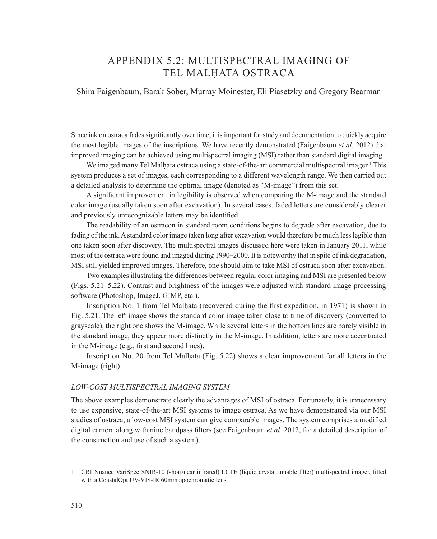## APPENDIX 5.2: MULTISPECTRAL IMAGING OF TEL MALḤATA OSTRACA

Shira Faigenbaum, Barak Sober, Murray Moinester, Eli Piasetzky and Gregory Bearman

Since ink on ostraca fades significantly over time, it is important for study and documentation to quickly acquire the most legible images of the inscriptions. We have recently demonstrated (Faigenbaum *et al*. 2012) that improved imaging can be achieved using multispectral imaging (MSI) rather than standard digital imaging.

We imaged many Tel Malḥata ostraca using a state-of-the-art commercial multispectral imager.<sup>1</sup> This system produces a set of images, each corresponding to a different wavelength range. We then carried out a detailed analysis to determine the optimal image (denoted as "M-image") from this set.

A significant improvement in legibility is observed when comparing the M-image and the standard color image (usually taken soon after excavation). In several cases, faded letters are considerably clearer and previously unrecognizable letters may be identified.

The readability of an ostracon in standard room conditions begins to degrade after excavation, due to fading of the ink. A standard color image taken long after excavation would therefore be much less legible than one taken soon after discovery. The multispectral images discussed here were taken in January 2011, while most of the ostraca were found and imaged during 1990–2000. It is noteworthy that in spite of ink degradation, MSI still yielded improved images. Therefore, one should aim to take MSI of ostraca soon after excavation.

Two examples illustrating the differences between regular color imaging and MSI are presented below (Figs. 5.21–5.22). Contrast and brightness of the images were adjusted with standard image processing software (Photoshop, ImageJ, GIMP, etc.).

Inscription No. 1 from Tel Malhata (recovered during the first expedition, in 1971) is shown in Fig. 5.21. The left image shows the standard color image taken close to time of discovery (converted to grayscale), the right one shows the M-image. While several letters in the bottom lines are barely visible in the standard image, they appear more distinctly in the M-image. In addition, letters are more accentuated in the M-image (e.g., first and second lines).

Inscription No. 20 from Tel Malḥata (Fig. 5.22) shows a clear improvement for all letters in the M-image (right).

## *LOW-COST MULTISPECTRAL IMAGING SYSTEM*

The above examples demonstrate clearly the advantages of MSI of ostraca. Fortunately, it is unnecessary to use expensive, state-of-the-art MSI systems to image ostraca. As we have demonstrated via our MSI studies of ostraca, a low-cost MSI system can give comparable images. The system comprises a modified digital camera along with nine bandpass filters (see Faigenbaum *et al*. 2012, for a detailed description of the construction and use of such a system).

<sup>1</sup> CRI Nuance VariSpec SNIR-10 (short/near infrared) LCTF (liquid crystal tunable filter) multispectral imager, fitted with a CoastalOpt UV-VIS-IR 60mm apochromatic lens.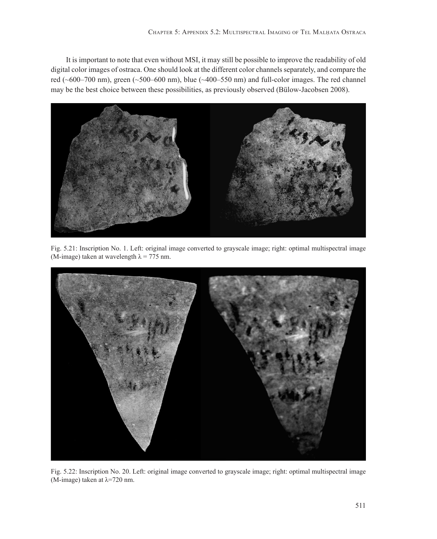It is important to note that even without MSI, it may still be possible to improve the readability of old digital color images of ostraca. One should look at the different color channels separately, and compare the red (~600–700 nm), green (~500–600 nm), blue (~400–550 nm) and full-color images. The red channel may be the best choice between these possibilities, as previously observed (Bülow-Jacobsen 2008).



Fig. 5.21: Inscription No. 1. Left: original image converted to grayscale image; right: optimal multispectral image (M-image) taken at wavelength  $\lambda$  = 775 nm.



Fig. 5.22: Inscription No. 20. Left: original image converted to grayscale image; right: optimal multispectral image (M-image) taken at  $\lambda$ =720 nm.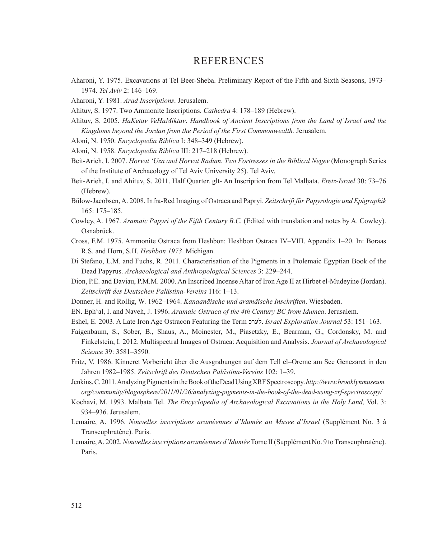## REFERENCES

- Aharoni, Y. 1975. Excavations at Tel Beer-Sheba. Preliminary Report of the Fifth and Sixth Seasons, 1973– 1974. *Tel Aviv* 2: 146–169.
- Aharoni, Y. 1981. *Arad Inscriptions*. Jerusalem.
- Ahituv, S. 1977. Two Ammonite Inscriptions. *Cathedra* 4: 178–189 (Hebrew).
- Ahituv, S. 2005. *HaKetav VeHaMiktav*. *Handbook of Ancient Inscriptions from the Land of Israel and the Kingdoms beyond the Jordan from the Period of the First Commonwealth.* Jerusalem.
- Aloni, N. 1950. *Encyclopedia Biblica* I: 348–349 (Hebrew).
- Aloni, N. 1958. *Encyclopedia Biblica* III: 217–218 (Hebrew).
- Beit-Arieh, I. 2007. *Ḥorvat 'Uza and Ḥorvat Radum. Two Fortresses in the Biblical Negev* (Monograph Series of the Institute of Archaeology of Tel Aviv University 25). Tel Aviv.
- Beit-Arieh, I. and Ahituv, S. 2011. Half Quarter. glt- An Inscription from Tel Malḥata. *Eretz-Israel* 30: 73–76 (Hebrew).
- Bülow-Jacobsen,A. 2008. Infra-Red Imaging of Ostraca and Papryi. *Zeitschrift für Papyrologie und Epigraphik*  165: 175–185.
- Cowley, A. 1967. *Aramaic Papyri of the Fifth Century B.C.* (Edited with translation and notes by A. Cowley). Osnabrück.
- Cross, F.M. 1975. Ammonite Ostraca from Heshbon: Heshbon Ostraca IV–VIII. Appendix 1–20. In: Boraas R.S. and Horn, S.H. *Heshbon 1973*. Michigan.
- Di Stefano, L.M. and Fuchs, R. 2011. Characterisation of the Pigments in a Ptolemaic Egyptian Book of the Dead Papyrus. *Archaeological and Anthropological Sciences* 3: 229–244.
- Dion, P.E. and Daviau, P.M.M. 2000. An Inscribed Incense Altar of Iron Age II at Hirbet el-Mudeyine (Jordan). *Zeitschrift des Deutschen Palästina-Vereins* 116: 1–13.
- Donner, H. and Rollig, W. 1962–1964. *Kanaanäische und aramäische Inschriften*. Wiesbaden.
- EN. Eph'al, I. and Naveh, J. 1996. *Aramaic Ostraca of the 4th Century BC from Idumea*. Jerusalem.
- Eshel, E. 2003. A Late Iron Age Ostracon Featuring the Term לערכ. *Israel Exploration Journal* 53: 151–163.
- Faigenbaum, S., Sober, B., Shaus, A., Moinester, M., Piasetzky, E., Bearman, G., Cordonsky, M. and Finkelstein, I. 2012. Multispectral Images of Ostraca: Acquisition and Analysis. *Journal of Archaeological Science* 39: 3581–3590.
- Fritz, V. 1986. Kinneret Vorbericht über die Ausgrabungen auf dem Tell el–Oreme am See Genezaret in den Jahren 1982–1985. *Zeitschrift des Deutschen Palästina-Vereins* 102: 1–39.
- Jenkins,C.2011.AnalyzingPigmentsintheBookoftheDeadUsingXRFSpectroscopy.*http://www.brooklynmuseum. org/community/blogosphere/2011/01/26/analyzing-pigments-in-the-book-of-the-dead-using-xrf-spectroscopy/*
- Kochavi, M. 1993. Malḥata Tel. *The Encyclopedia of Archaeological Excavations in the Holy Land,* Vol. 3: 934–936. Jerusalem.
- Lemaire, A. 1996. *Nouvelles inscriptions araméennes d'Idumée au Musee d'Israel* (Supplément No. 3 à Transeuphratène). Paris.
- Lemaire, A. 2002. *Nouvelles inscriptions araméennes d'Idumée* Tome II (Supplément No. 9 to Transeuphratène). Paris.